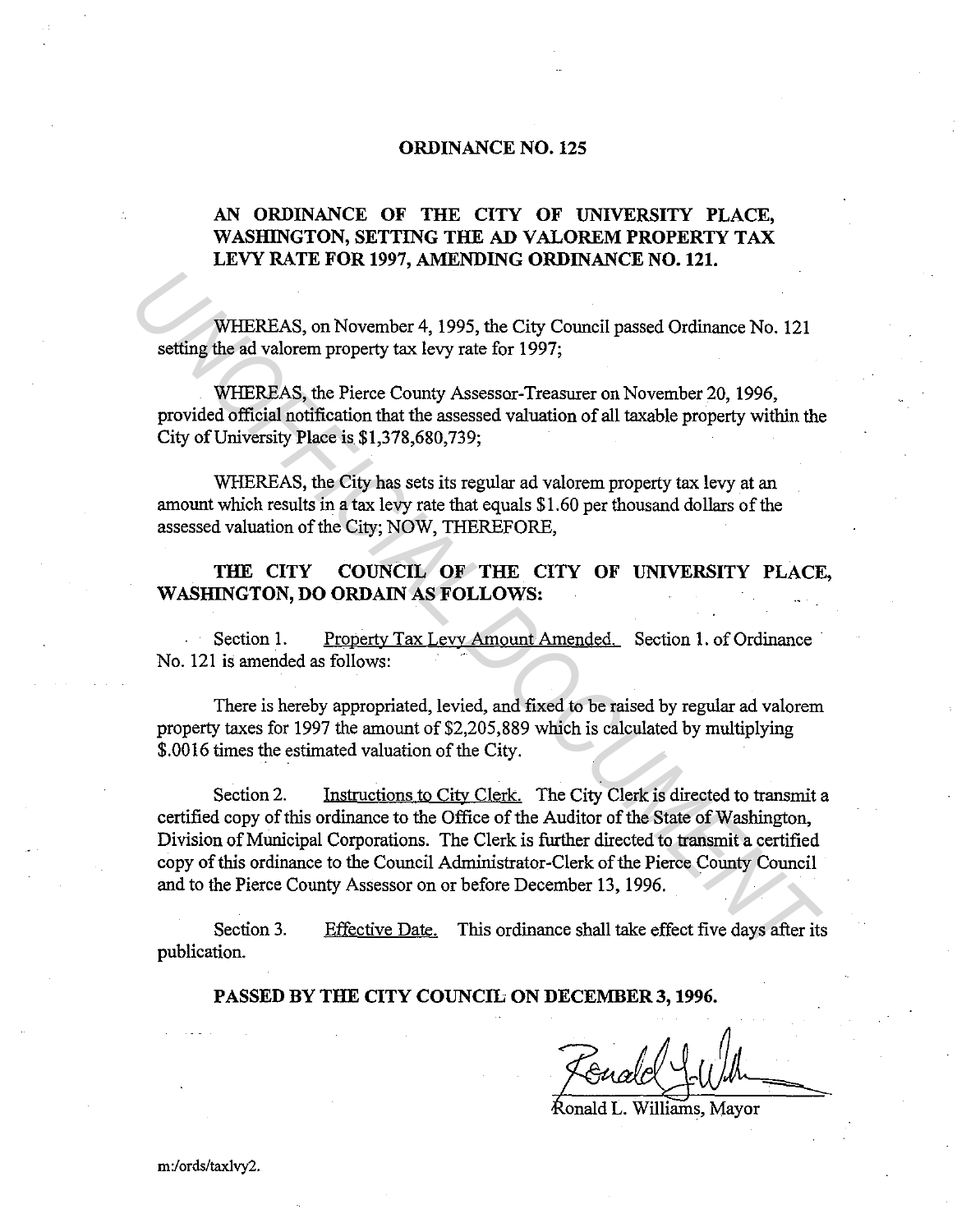## **ORDINANCE NO. 125**

## **AN ORDINANCE OF THE CITY OF UNIVERSITY PLACE,**  WASHINGTON, SETTING THE AD VALOREM PROPERTY TAX **LEVY RATE FOR 1997, AMENDING ORDINANCE NO. 121.**

WHEREAS, on November 4, 1995, the City Council passed Ordinance No. 121 setting the ad valorem property tax levy rate for 1997;

WHEREAS, the Pierce County Assessor-Treasurer on November 20, 1996, provided official notification that the assessed valuation of all taxable property within the City of University Place is \$1,378,680,739;

WHEREAS, the City has sets its regular ad valorem property tax levy at an amount which results in a tax levy rate that equals \$1.60 per thousand dollars of the assessed valuation of the City; NOW, THEREFORE,

**THE CITY COUNCIL OF THE CITY OF UNIVERSITY PLACE, WASHINGTON, DO ORDAIN AS FOLLOWS:** 

Section 1. Property Tax Levy Amount Amended. Section 1. of Ordinance No. 121 is amended as follows:

There is hereby appropriated, levied, and fixed to be raised by regular ad valorem property taxes for 1997 the amount of \$2,205,889 which is calculated by multiplying \$.0016 times the estimated valuation of the City.

Section 2. Instructions to City Clerk. The City Clerk is directed to transmit a certified copy of this ordinance to the Office of the Auditor of the State of Washington, Division of Municipal Corporations. The Clerk is further directed to transmit a certified copy of this ordinance to the Council Administrator-Clerk of the Pierce County Council and to the Pierce County Assessor on or before December 13, 1996. WHEREAS, on November 4, 1995, the City Council passed Ordinance No. 121<br> **Setting** the ad valorem property tax levy rate for 1997;<br>
WHEREAS, the Pierce County Assessor-Treasurer on November 20, 1996,<br>
provided efficial not

Section 3. publication. Effective Date. This ordinance shall take effect five days after its

**PASSED BY THE CITY COUNCIL ON DECEMBER 3, 1996.** 

Rouald J.W.M

rn:/ords/taxlvy2.